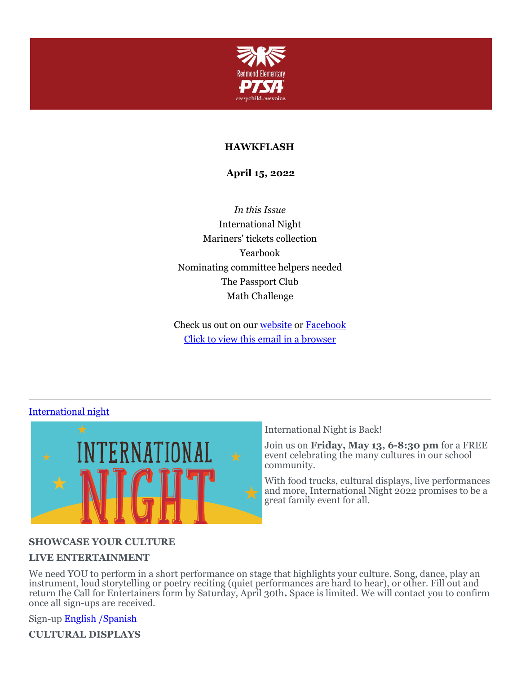

### **HAWKFLASH**

**April 15, 2022**

*In this Issue* International Night Mariners' tickets collection Yearbook Nominating committee helpers needed The Passport Club Math Challenge

Check us out on our [website](https://cts.vresp.com/c/?RedmondElementaryPTS/022fe3ffd7/f55aa07e44/b695561078) or [Facebook](https://cts.vresp.com/c/?RedmondElementaryPTS/022fe3ffd7/f55aa07e44/5efccc7b61) Click to view this email in a [browser](http://hosted.verticalresponse.com/649438/022fe3ffd7/TEST/TEST/)

### [International](https://cts.vresp.com/c/?RedmondElementaryPTS/022fe3ffd7/f55aa07e44/f88c43db7d) night



International Night is Back!

Join us on **Friday, May 13, 6-8:30 pm** for a FREE event celebrating the many cultures in our school community.

With food trucks, cultural displays, live performances and more, International Night 2022 promises to be a great family event for all.

### **SHOWCASE YOUR CULTURE**

#### **LIVE ENTERTAINMENT**

We need YOU to perform in a short performance on stage that highlights your culture. Song, dance, play an instrument, loud storytelling or poetry reciting (quiet performances are hard to hear), or other. Fill out and return the Call for Entertainers form by Saturday, April 30th**.** Space is limited. We will contact you to confirm once all sign-ups are received.

Sign-up [English](https://cts.vresp.com/c/?RedmondElementaryPTS/022fe3ffd7/f55aa07e44/6adbda756a) [/Spanish](https://cts.vresp.com/c/?RedmondElementaryPTS/022fe3ffd7/f55aa07e44/b8640863e4)

**CULTURAL DISPLAYS**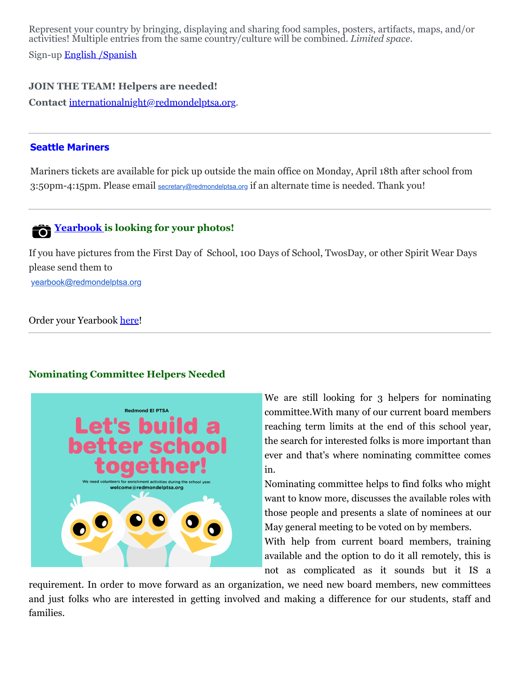Represent your country by bringing, displaying and sharing food samples, posters, artifacts, maps, and/or activities! Multiple entries from the same country/culture will be combined. *Limited space*.

Sign-up [English](https://cts.vresp.com/c/?RedmondElementaryPTS/022fe3ffd7/f55aa07e44/df9d75c771) [/Spanish](https://cts.vresp.com/c/?RedmondElementaryPTS/022fe3ffd7/f55aa07e44/d0708e2f7d)

### **JOIN THE TEAM! Helpers are needed!**

**Contact** [internationalnight@redmondelptsa.org](mailto:internationalnight@redmondelptsa.org).

#### **Seattle Mariners**

Mariners tickets are available for pick up outside the main office on Monday, April 18th after school from 3:50pm-4:15pm. Please email [secretary@redmondelptsa.org](mailto:secretary@redmondelptsa.org) if an alternate time is needed. Thank you!

# **[Yearbook](https://cts.vresp.com/c/?RedmondElementaryPTS/022fe3ffd7/f55aa07e44/eda76afc3b) is looking for your photos!**

If you have pictures from the First Day of School, 100 Days of School, TwosDay, or other Spirit Wear Days please send them to

[yearbook@redmondelptsa.org](mailto:yearbook@redmondelptsa.org)

Order your Yearbook [here](https://cts.vresp.com/c/?RedmondElementaryPTS/022fe3ffd7/f55aa07e44/a058061199)!

#### **Nominating Committee Helpers Needed**



We are still looking for 3 helpers for nominating committee.With many of our current board members reaching term limits at the end of this school year, the search for interested folks is more important than ever and that's where nominating committee comes in.

Nominating committee helps to find folks who might want to know more, discusses the available roles with those people and presents a slate of nominees at our May general meeting to be voted on by members.

With help from current board members, training available and the option to do it all remotely, this is not as complicated as it sounds but it IS a

requirement. In order to move forward as an organization, we need new board members, new committees and just folks who are interested in getting involved and making a difference for our students, staff and families.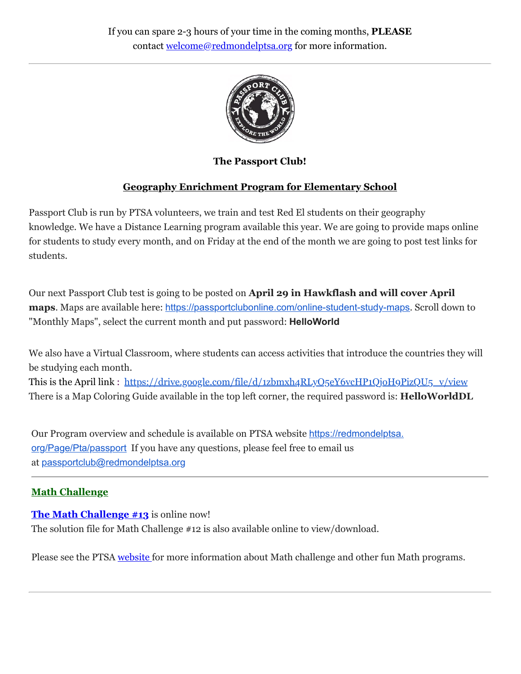

**The Passport Club!**

# **Geography Enrichment Program for Elementary School**

Passport Club is run by PTSA volunteers, we train and test Red El students on their geography knowledge. We have a Distance Learning program available this year. We are going to provide maps online for students to study every month, and on Friday at the end of the month we are going to post test links for students.

Our next Passport Club test is going to be posted on **April 29 in Hawkflash and will cover April** maps. Maps are available here: [https://passportclubonline.com/online-student-study-maps](https://cts.vresp.com/c/?RedmondElementaryPTS/65b6d7a2d1/ea73972d22/f55657df29). Scroll down to "Monthly Maps", select the current month and put password: **HelloWorld**

We also have a Virtual Classroom, where students can access activities that introduce the countries they will be studying each month.

This is the April link : [https://drive.google.com/file/d/1zbmxh4RLyO5eY6vcHP1QjoH9PizQU5\\_v/view](https://drive.google.com/file/d/1zbmxh4RLyO5eY6vcHP1QjoH9PizQU5_v/view) There is a Map Coloring Guide available in the top left corner, the required password is: **HelloWorldDL**

Our Program overview and schedule is available on PTSA website https://redmondelptsa. [org/Page/Pta/passport](https://redmondelptsa.org/Page/Pta/passport) If you have any questions, please feel free to email us at [passportclub@redmondelptsa.org](mailto:passportclub@redmondelptsa.org)

# **Math Challenge**

## **The Math [Challenge](https://cts.vresp.com/c/?RedmondElementaryPTS/022fe3ffd7/f55aa07e44/3dc48c4b03) #[13](https://cts.vresp.com/c/?RedmondElementaryPTS/022fe3ffd7/f55aa07e44/4b1e6949b5)** is online now!

The solution file for Math Challenge #12 is also available online to view/download.

Please see the PTSA [website](https://cts.vresp.com/c/?RedmondElementaryPTS/022fe3ffd7/f55aa07e44/4d838a5dcd) for more information about Math challenge and other fun Math programs.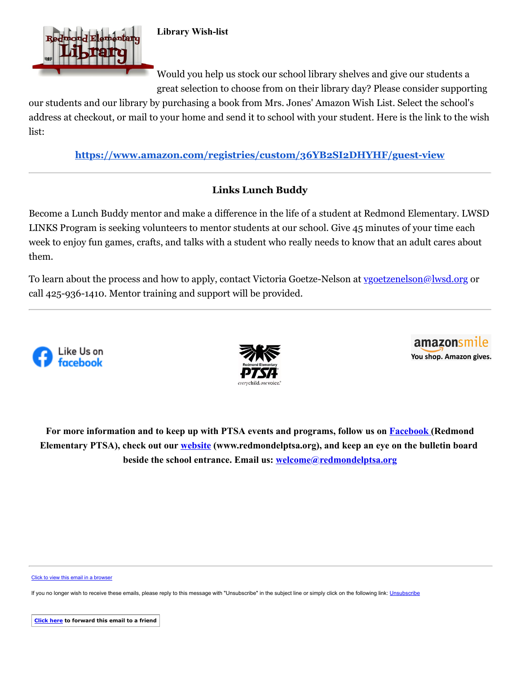

**Library Wish-list**

Would you help us stock our school library shelves and give our students a great selection to choose from on their library day? Please consider supporting

our students and our library by purchasing a book from Mrs. Jones' Amazon Wish List. Select the school's address at checkout, or mail to your home and send it to school with your student. Here is the link to the wish list:

**<https://www.amazon.com/registries/custom/36YB2SI2DHYHF/guest-view>**

## **Links Lunch Buddy**

Become a Lunch Buddy mentor and make a difference in the life of a student at Redmond Elementary. LWSD LINKS Program is seeking volunteers to mentor students at our school. Give 45 minutes of your time each week to enjoy fun games, crafts, and talks with a student who really needs to know that an adult cares about them.

To learn about the process and how to apply, contact Victoria Goetze-Nelson at [vgoetzenelson@lwsd.org](mailto:vgoetzenelson@lwsd.org) or call 425-936-1410. Mentor training and support will be provided.







**For more information and to keep up with PTSA events and programs, follow us on [Facebook](https://cts.vresp.com/c/?RedmondElementaryPTS/022fe3ffd7/f55aa07e44/c8fc0a2903) (Redmond Elementary PTSA), check out our [website](https://cts.vresp.com/c/?RedmondElementaryPTS/022fe3ffd7/f55aa07e44/25e2108678) (www.redmondelptsa.org), and keep an eye on the bulletin board beside the school entrance. Email us: [welcome@redmondelptsa.org](mailto:welcome@redmondelptsa.org)**

[Click to view this email in a browser](http://hosted.verticalresponse.com/649438/022fe3ffd7/TEST/TEST/)

If you no longer wish to receive these emails, please reply to this message with "[Unsubscribe](https://cts.vresp.com/u?022fe3ffd7/f55aa07e44//confirm)" in the subject line or simply click on the following link: Unsubscribe